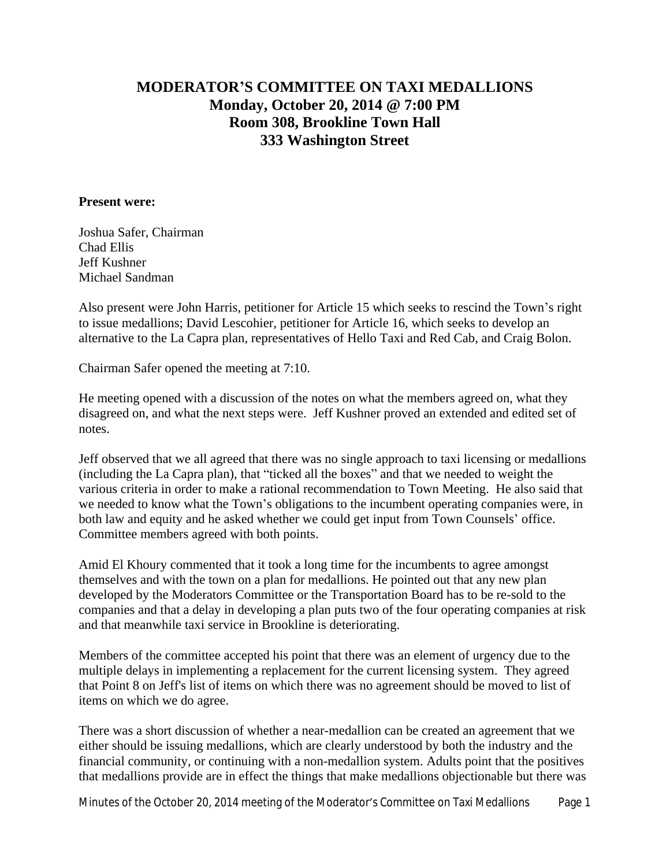## **MODERATOR'S COMMITTEE ON TAXI MEDALLIONS Monday, October 20, 2014 @ 7:00 PM Room 308, Brookline Town Hall 333 Washington Street**

## **Present were:**

Joshua Safer, Chairman Chad Ellis Jeff Kushner Michael Sandman

Also present were John Harris, petitioner for Article 15 which seeks to rescind the Town's right to issue medallions; David Lescohier, petitioner for Article 16, which seeks to develop an alternative to the La Capra plan, representatives of Hello Taxi and Red Cab, and Craig Bolon.

Chairman Safer opened the meeting at 7:10.

He meeting opened with a discussion of the notes on what the members agreed on, what they disagreed on, and what the next steps were. Jeff Kushner proved an extended and edited set of notes.

Jeff observed that we all agreed that there was no single approach to taxi licensing or medallions (including the La Capra plan), that "ticked all the boxes" and that we needed to weight the various criteria in order to make a rational recommendation to Town Meeting. He also said that we needed to know what the Town's obligations to the incumbent operating companies were, in both law and equity and he asked whether we could get input from Town Counsels' office. Committee members agreed with both points.

Amid El Khoury commented that it took a long time for the incumbents to agree amongst themselves and with the town on a plan for medallions. He pointed out that any new plan developed by the Moderators Committee or the Transportation Board has to be re-sold to the companies and that a delay in developing a plan puts two of the four operating companies at risk and that meanwhile taxi service in Brookline is deteriorating.

Members of the committee accepted his point that there was an element of urgency due to the multiple delays in implementing a replacement for the current licensing system. They agreed that Point 8 on Jeff's list of items on which there was no agreement should be moved to list of items on which we do agree.

There was a short discussion of whether a near-medallion can be created an agreement that we either should be issuing medallions, which are clearly understood by both the industry and the financial community, or continuing with a non-medallion system. Adults point that the positives that medallions provide are in effect the things that make medallions objectionable but there was

Minutes of the October 20, 2014 meeting of the Moderator's Committee on Taxi Medallions Page 1